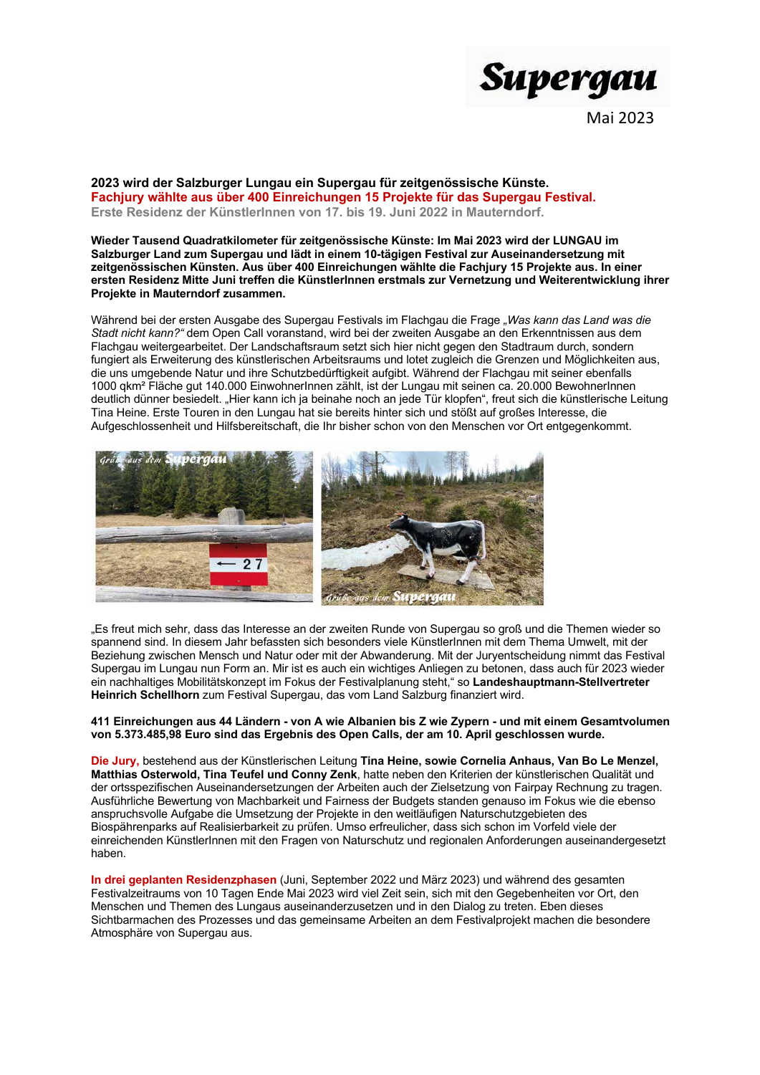

Mai 2023

2023 wird der Salzburger Lungau ein Supergau für zeitgenössische Künste. Fachjury wählte aus über 400 Einreichungen 15 Projekte für das Supergau Festival. Erste Residenz der Künstlerinnen von 17. bis 19. Juni 2022 in Mauterndorf.

Wieder Tausend Quadratkilometer für zeitgenössische Künste: Im Mai 2023 wird der LUNGAU im Salzburger Land zum Supergau und lädt in einem 10-tägigen Festival zur Auseinandersetzung mit zeitgenössischen Künsten. Aus über 400 Einreichungen wählte die Fachjury 15 Projekte aus. In einer ersten Residenz Mitte Juni treffen die Künstlerlnnen erstmals zur Vernetzung und Weiterentwicklung ihrer Projekte in Mauterndorf zusammen.

Während bei der ersten Ausgabe des Supergau Festivals im Flachgau die Frage "Was kann das Land was die Stadt nicht kann?" dem Open Call voranstand, wird bei der zweiten Ausgabe an den Erkenntnissen aus dem Flachgau weitergearbeitet. Der Landschaftsraum setzt sich hier nicht gegen den Stadtraum durch, sondern fungiert als Erweiterung des künstlerischen Arbeitsraums und lotet zugleich die Grenzen und Möglichkeiten aus, die uns umgebende Natur und ihre Schutzbedürftigkeit aufgibt. Während der Flachgau mit seiner ebenfalls 1000 gkm<sup>2</sup> Fläche gut 140.000 EinwohnerInnen zählt, ist der Lungau mit seinen ca. 20.000 BewohnerInnen deutlich dünner besiedelt. "Hier kann ich ia beinahe noch an iede Tür klopfen", freut sich die künstlerische Leitung Tina Heine. Erste Touren in den Lungau hat sie bereits hinter sich und stößt auf großes Interesse, die Aufgeschlossenheit und Hilfsbereitschaft, die Ihr bisher schon von den Menschen vor Ort entgegenkommt.



"Es freut mich sehr, dass das Interesse an der zweiten Runde von Supergau so groß und die Themen wieder so spannend sind. In diesem Jahr befassten sich besonders viele KünstlerInnen mit dem Thema Umwelt, mit der Beziehung zwischen Mensch und Natur oder mit der Abwanderung. Mit der Juryentscheidung nimmt das Festival Supergau im Lungau nun Form an. Mir ist es auch ein wichtiges Anliegen zu betonen, dass auch für 2023 wieder ein nachhaltiges Mobilitätskonzept im Fokus der Festivalplanung steht," so Landeshauptmann-Stellvertreter Heinrich Schellhorn zum Festival Supergau, das vom Land Salzburg finanziert wird.

#### 411 Einreichungen aus 44 Ländern - von A wie Albanien bis Z wie Zypern - und mit einem Gesamtvolumen von 5.373.485,98 Euro sind das Ergebnis des Open Calls, der am 10. April geschlossen wurde.

Die Jury, bestehend aus der Künstlerischen Leitung Tina Heine, sowie Cornelia Anhaus, Van Bo Le Menzel, Matthias Osterwold, Tina Teufel und Conny Zenk, hatte neben den Kriterien der künstlerischen Qualität und der ortsspezifischen Auseinandersetzungen der Arbeiten auch der Zielsetzung von Fairpay Rechnung zu tragen. Ausführliche Bewertung von Machbarkeit und Fairness der Budgets standen genauso im Fokus wie die ebenso anspruchsvolle Aufgabe die Umsetzung der Projekte in den weitläufigen Naturschutzgebieten des Biospährenparks auf Realisierbarkeit zu prüfen. Umso erfreulicher, dass sich schon im Vorfeld viele der einreichenden KünstlerInnen mit den Fragen von Naturschutz und regionalen Anforderungen auseinandergesetzt haben.

In drei geplanten Residenzphasen (Juni, September 2022 und März 2023) und während des gesamten Festivalzeitraums von 10 Tagen Ende Mai 2023 wird viel Zeit sein, sich mit den Gegebenheiten vor Ort, den Menschen und Themen des Lungaus auseinanderzusetzen und in den Dialog zu treten. Eben dieses Sichtbarmachen des Prozesses und das gemeinsame Arbeiten an dem Festivalprojekt machen die besondere Atmosphäre von Supergau aus.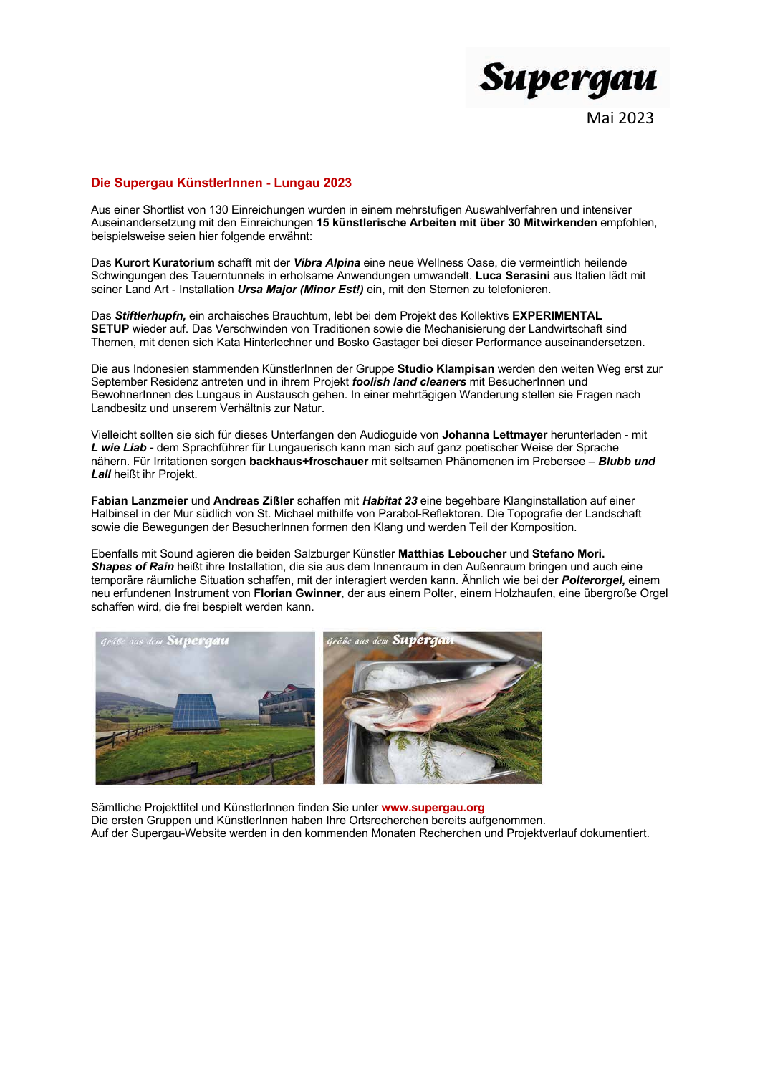

## Die Supergau Künstlerlnnen - Lungau 2023

Aus einer Shortlist von 130 Einreichungen wurden in einem mehrstufigen Auswahlverfahren und intensiver Auseinandersetzung mit den Einreichungen 15 künstlerische Arbeiten mit über 30 Mitwirkenden empfohlen. beispielsweise seien hier folgende erwähnt:

Das Kurort Kuratorium schafft mit der Vibra Alpina eine neue Wellness Oase, die vermeintlich heilende Schwingungen des Tauerntunnels in erholsame Anwendungen umwandelt. Luca Serasini aus Italien lädt mit seiner Land Art - Installation *Ursa Maior (Minor Est!)* ein. mit den Sternen zu telefonieren.

Das Stiftlerhupfn, ein archaisches Brauchtum, lebt bei dem Projekt des Kollektivs EXPERIMENTAL SETUP wieder auf. Das Verschwinden von Traditionen sowie die Mechanisierung der Landwirtschaft sind Themen, mit denen sich Kata Hinterlechner und Bosko Gastager bei dieser Performance auseinandersetzen.

Die aus Indonesien stammenden KünstlerInnen der Gruppe Studio Klampisan werden den weiten Weg erst zur September Residenz antreten und in ihrem Projekt foolish land cleaners mit BesucherInnen und BewohnerInnen des Lungaus in Austausch gehen. In einer mehrtägigen Wanderung stellen sie Fragen nach Landbesitz und unserem Verhältnis zur Natur.

Vielleicht sollten sie sich für dieses Unterfangen den Audioquide von Johanna Lettmayer herunterladen - mit L wie Liab - dem Sprachführer für Lungauerisch kann man sich auf ganz poetischer Weise der Sprache nähern. Für Irritationen sorgen backhaus+froschauer mit seltsamen Phänomenen im Prebersee - Blubb und Lall heißt ihr Projekt.

Fabian Lanzmeier und Andreas Zißler schaffen mit Habitat 23 eine begehbare Klanginstallation auf einer Halbinsel in der Mur südlich von St. Michael mithilfe von Parabol-Reflektoren. Die Topografie der Landschaft sowie die Bewegungen der BesucherInnen formen den Klang und werden Teil der Komposition.

Ebenfalls mit Sound agieren die beiden Salzburger Künstler Matthias Leboucher und Stefano Mori. Shapes of Rain heißt ihre Installation, die sie aus dem Innenraum in den Außenraum bringen und auch eine temporäre räumliche Situation schaffen, mit der interagiert werden kann. Ähnlich wie bei der Polterorgel, einem neu erfundenen Instrument von Florian Gwinner, der aus einem Polter, einem Holzhaufen, eine übergroße Orgel schaffen wird, die frei bespielt werden kann.



Sämtliche Projekttitel und KünstlerInnen finden Sie unter www.supergau.org Die ersten Gruppen und KünstlerInnen haben Ihre Ortsrecherchen bereits aufgenommen. Auf der Supergau-Website werden in den kommenden Monaten Recherchen und Projektverlauf dokumentiert.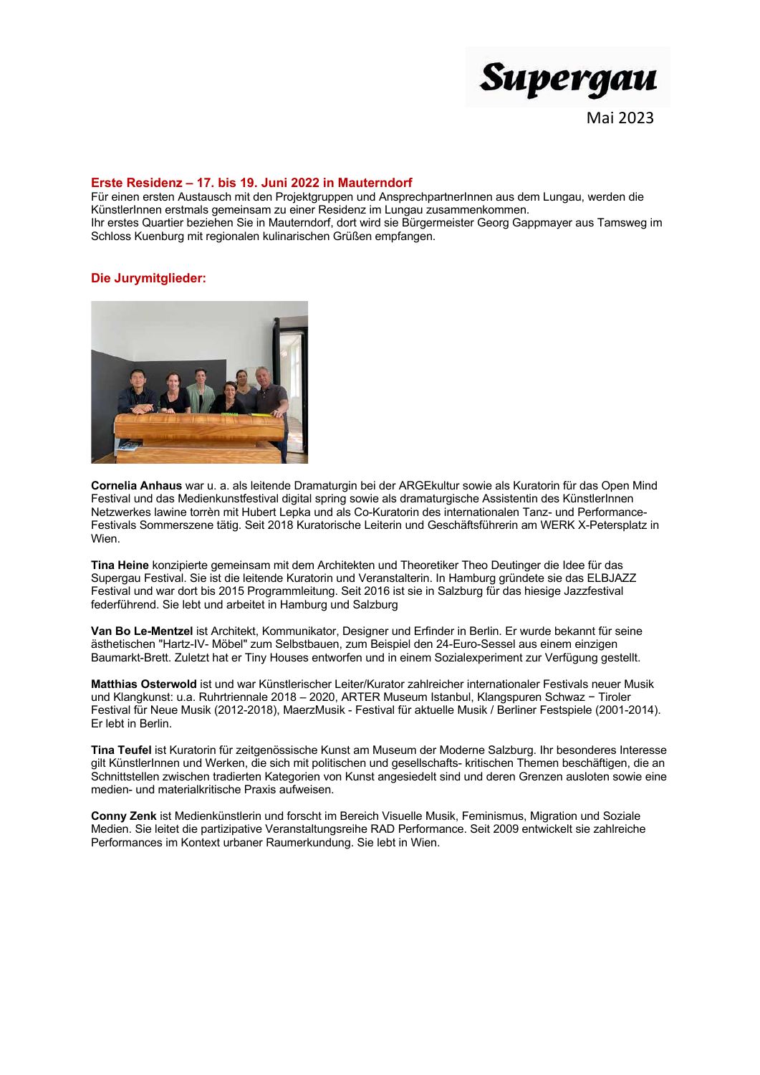

## Erste Residenz - 17. bis 19. Juni 2022 in Mauterndorf

Für einen ersten Austausch mit den Projektgruppen und AnsprechpartnerInnen aus dem Lungau, werden die KünstlerInnen erstmals gemeinsam zu einer Residenz im Lungau zusammenkommen. Ihr erstes Quartier beziehen Sie in Mauterndorf, dort wird sie Bürgermeister Georg Gappmayer aus Tamsweg im Schloss Kuenburg mit regionalen kulinarischen Grüßen empfangen.

# **Die Jurymitglieder:**



Cornelia Anhaus war u. a. als leitende Dramaturgin bei der ARGEkultur sowie als Kuratorin für das Open Mind Festival und das Medienkunstfestival digital spring sowie als dramaturgische Assistentin des KünstlerInnen Netzwerkes lawine torrèn mit Hubert Lepka und als Co-Kuratorin des internationalen Tanz- und Performance-Festivals Sommerszene tätig. Seit 2018 Kuratorische Leiterin und Geschäftsführerin am WERK X-Petersplatz in Wien.

Tina Heine konzipierte gemeinsam mit dem Architekten und Theoretiker Theo Deutinger die Idee für das Supergau Festival. Sie ist die leitende Kuratorin und Veranstalterin. In Hamburg gründete sie das ELBJAZZ Festival und war dort bis 2015 Programmleitung. Seit 2016 ist sie in Salzburg für das hiesige Jazzfestival federführend. Sie lebt und arbeitet in Hamburg und Salzburg

Van Bo Le-Mentzel ist Architekt, Kommunikator, Designer und Erfinder in Berlin. Er wurde bekannt für seine ästhetischen "Hartz-IV- Möbel" zum Selbstbauen, zum Beispiel den 24-Euro-Sessel aus einem einzigen Baumarkt-Brett. Zuletzt hat er Tiny Houses entworfen und in einem Sozialexperiment zur Verfügung gestellt.

Matthias Osterwold ist und war Künstlerischer Leiter/Kurator zahlreicher internationaler Festivals neuer Musik und Klangkunst: u.a. Ruhrtriennale 2018 - 2020, ARTER Museum Istanbul, Klangspuren Schwaz - Tiroler Festival für Neue Musik (2012-2018), MaerzMusik - Festival für aktuelle Musik / Berliner Festspiele (2001-2014). Er lebt in Berlin.

Tina Teufel ist Kuratorin für zeitgenössische Kunst am Museum der Moderne Salzburg. Ihr besonderes Interesse gilt Künstlerinnen und Werken, die sich mit politischen und gesellschafts- kritischen Themen beschäftigen, die an Schnittstellen zwischen tradierten Kategorien von Kunst angesiedelt sind und deren Grenzen ausloten sowie eine medien- und materialkritische Praxis aufweisen.

Conny Zenk ist Medienkünstlerin und forscht im Bereich Visuelle Musik, Feminismus, Migration und Soziale Medien. Sie leitet die partizipative Veranstaltungsreihe RAD Performance. Seit 2009 entwickelt sie zahlreiche Performances im Kontext urbaner Raumerkundung. Sie lebt in Wien.